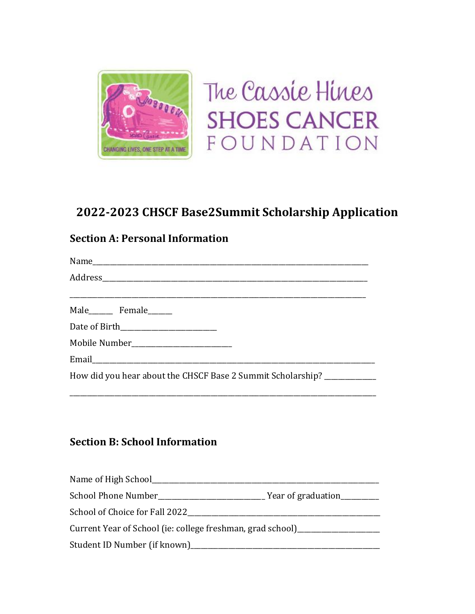

The Cassie Hines **SHOES CANCER** FOUNDATION

# **2022-2023 CHSCF Base2Summit Scholarship Application**

## **Section A: Personal Information**

Name Address \_\_\_\_\_\_\_\_\_\_\_\_\_\_\_\_\_\_\_\_\_\_\_\_\_\_\_\_\_\_\_\_\_\_\_\_\_\_\_\_\_\_\_\_\_\_\_\_\_\_\_\_\_\_\_\_\_\_\_\_\_\_\_\_\_\_\_\_\_\_\_\_\_\_\_\_\_\_\_\_\_\_\_\_\_\_ Male Female Date of Birth\_\_\_\_\_\_\_\_\_\_\_\_\_\_\_\_\_\_\_\_\_\_\_\_\_\_\_\_ Mobile Number\_\_\_\_\_\_\_\_\_\_\_\_\_\_\_\_\_\_\_\_\_\_\_\_\_\_\_\_\_ Email How did you hear about the CHSCF Base 2 Summit Scholarship? \_\_\_\_\_\_\_\_\_\_\_\_\_\_

\_\_\_\_\_\_\_\_\_\_\_\_\_\_\_\_\_\_\_\_\_\_\_\_\_\_\_\_\_\_\_\_\_\_\_\_\_\_\_\_\_\_\_\_\_\_\_\_\_\_\_\_\_\_\_\_\_\_\_\_\_\_\_\_\_\_\_\_\_\_\_\_\_\_\_\_\_\_\_\_\_\_\_\_\_\_\_\_\_

# **Section B: School Information**

| Name of High School____                                    |                    |
|------------------------------------------------------------|--------------------|
| School Phone Number                                        | Year of graduation |
| School of Choice for Fall 2022                             |                    |
| Current Year of School (ie: college freshman, grad school) |                    |
| Student ID Number (if known)__                             |                    |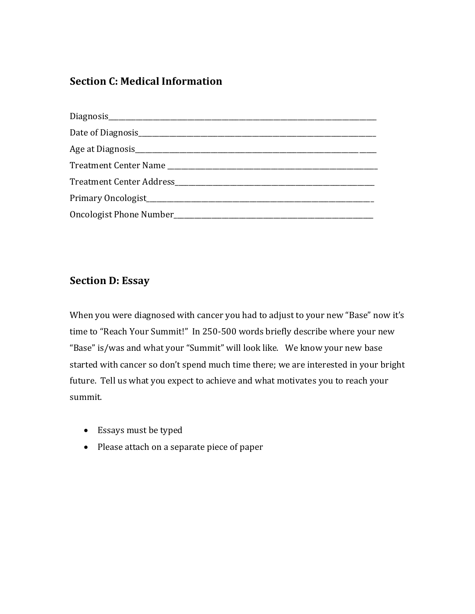#### **Section C: Medical Information**

| Date of Diagnosis experience and the property of Diagnosis |
|------------------------------------------------------------|
|                                                            |
|                                                            |
|                                                            |
|                                                            |
|                                                            |

### **Section D: Essay**

When you were diagnosed with cancer you had to adjust to your new "Base" now it's time to "Reach Your Summit!" In 250-500 words briefly describe where your new "Base" is/was and what your "Summit" will look like. We know your new base started with cancer so don't spend much time there; we are interested in your bright future. Tell us what you expect to achieve and what motivates you to reach your summit.

- Essays must be typed
- Please attach on a separate piece of paper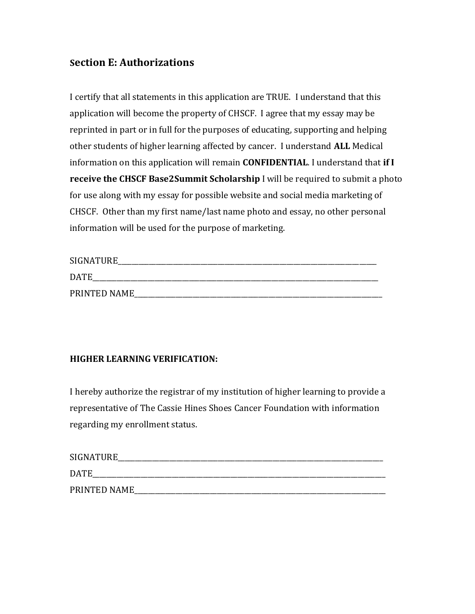#### **Section E: Authorizations**

I certify that all statements in this application are TRUE. I understand that this application will become the property of CHSCF. I agree that my essay may be reprinted in part or in full for the purposes of educating, supporting and helping other students of higher learning affected by cancer. I understand **ALL** Medical information on this application will remain **CONFIDENTIAL**. I understand that **if I receive the CHSCF Base2Summit Scholarship** I will be required to submit a photo for use along with my essay for possible website and social media marketing of CHSCF. Other than my first name/last name photo and essay, no other personal information will be used for the purpose of marketing.

| <b>SIGNATURE</b> |  |
|------------------|--|
| <b>DATE</b>      |  |
| PRINTED NAME     |  |

#### **HIGHER LEARNING VERIFICATION:**

I hereby authorize the registrar of my institution of higher learning to provide a representative of The Cassie Hines Shoes Cancer Foundation with information regarding my enrollment status.

| SIGNATURE    |
|--------------|
| <b>DATE</b>  |
| PRINTED NAME |